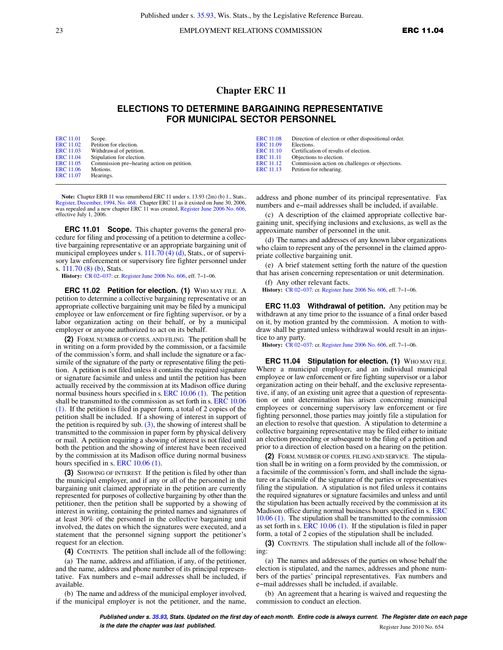23 EMPLOYMENT RELATIONS COMMISSION **ERC 11.04** 

## **Chapter ERC 11**

## **ELECTIONS TO DETERMINE BARGAINING REPRESENTATIVE FOR MUNICIPAL SECTOR PERSONNEL**

| <b>ERC</b> 11.01 | Scope.                                     | <b>ERC</b> 11.08 | Direction of election or other dispositional order. |
|------------------|--------------------------------------------|------------------|-----------------------------------------------------|
| <b>ERC</b> 11.02 | Petition for election.                     | <b>ERC</b> 11.09 | Elections.                                          |
| <b>ERC</b> 11.03 | Withdrawal of petition.                    | ERC 11.10        | Certification of results of election.               |
| <b>ERC</b> 11.04 | Stipulation for election.                  | <b>ERC</b> 11.11 | Objections to election.                             |
| <b>ERC</b> 11.05 | Commission pre-hearing action on petition. | ERC 11.12        | Commission action on challenges or objections.      |
| ERC 11.06        | Motions.                                   | <b>ERC</b> 11.13 | Petition for rehearing.                             |
| <b>ERC</b> 11.07 | Hearings.                                  |                  |                                                     |

**Note:** Chapter ERB 11 was renumbered ERC 11 under s. 13.93 (2m) (b) 1., Stats., [Register, December, 1994, No. 468](https://docs.legis.wisconsin.gov/document/register/468/B/toc). Chapter ERC 11 as it existed on June 30, 2006, was repealed and a new chapter ERC 11 was created, [Register June 2006 No. 606](https://docs.legis.wisconsin.gov/document/register/606/B/toc), effective July 1, 2006.

**ERC 11.01 Scope.** This chapter governs the general procedure for filing and processing of a petition to determine a collective bargaining representative or an appropriate bargaining unit of municipal employees under s.  $111.70$  (4) (d), Stats., or of supervisory law enforcement or supervisory fire fighter personnel under s. [111.70 \(8\) \(b\),](https://docs.legis.wisconsin.gov/document/statutes/111.70(8)(b)) Stats.

**History:** [CR 02−037](https://docs.legis.wisconsin.gov/document/cr/2002/37): cr. [Register June 2006 No. 606,](https://docs.legis.wisconsin.gov/document/register/606/B/toc) eff. 7−1−06.

**ERC 11.02 Petition for election. (1)** WHO MAY FILE. A petition to determine a collective bargaining representative or an appropriate collective bargaining unit may be filed by a municipal employee or law enforcement or fire fighting supervisor, or by a labor organization acting on their behalf, or by a municipal employer or anyone authorized to act on its behalf.

**(2)** FORM, NUMBER OF COPIES, AND FILING. The petition shall be in writing on a form provided by the commission, or a facsimile of the commission's form, and shall include the signature or a facsimile of the signature of the party or representative filing the petition. A petition is not filed unless it contains the required signature or signature facsimile and unless and until the petition has been actually received by the commission at its Madison office during normal business hours specified in s. [ERC 10.06 \(1\)](https://docs.legis.wisconsin.gov/document/administrativecode/ERC%2010.06(1)). The petition shall be transmitted to the commission as set forth in s. [ERC 10.06](https://docs.legis.wisconsin.gov/document/administrativecode/ERC%2010.06(1)) [\(1\)](https://docs.legis.wisconsin.gov/document/administrativecode/ERC%2010.06(1)). If the petition is filed in paper form, a total of 2 copies of the petition shall be included. If a showing of interest in support of the petition is required by sub.  $(3)$ , the showing of interest shall be transmitted to the commission in paper form by physical delivery or mail. A petition requiring a showing of interest is not filed until both the petition and the showing of interest have been received by the commission at its Madison office during normal business hours specified in s. [ERC 10.06 \(1\)](https://docs.legis.wisconsin.gov/document/administrativecode/ERC%2010.06(1)).

**(3)** SHOWING OF INTEREST. If the petition is filed by other than the municipal employer, and if any or all of the personnel in the bargaining unit claimed appropriate in the petition are currently represented for purposes of collective bargaining by other than the petitioner, then the petition shall be supported by a showing of interest in writing, containing the printed names and signatures of at least 30% of the personnel in the collective bargaining unit involved, the dates on which the signatures were executed, and a statement that the personnel signing support the petitioner's request for an election.

**(4)** CONTENTS. The petition shall include all of the following:

(a) The name, address and affiliation, if any, of the petitioner, and the name, address and phone number of its principal representative. Fax numbers and e−mail addresses shall be included, if available.

(b) The name and address of the municipal employer involved, if the municipal employer is not the petitioner, and the name,

address and phone number of its principal representative. Fax numbers and e−mail addresses shall be included, if available.

(c) A description of the claimed appropriate collective bargaining unit, specifying inclusions and exclusions, as well as the approximate number of personnel in the unit.

(d) The names and addresses of any known labor organizations who claim to represent any of the personnel in the claimed appropriate collective bargaining unit.

(e) A brief statement setting forth the nature of the question that has arisen concerning representation or unit determination.

(f) Any other relevant facts. **History:** [CR 02−037:](https://docs.legis.wisconsin.gov/document/cr/2002/37) cr. [Register June 2006 No. 606](https://docs.legis.wisconsin.gov/document/register/606/B/toc), eff. 7−1−06.

**ERC 11.03 Withdrawal of petition.** Any petition may be withdrawn at any time prior to the issuance of a final order based on it, by motion granted by the commission. A motion to withdraw shall be granted unless withdrawal would result in an injustice to any party.

**History:** [CR 02−037:](https://docs.legis.wisconsin.gov/document/cr/2002/37) cr. [Register June 2006 No. 606](https://docs.legis.wisconsin.gov/document/register/606/B/toc), eff. 7−1−06.

**ERC 11.04 Stipulation for election. (1)** WHO MAY FILE. Where a municipal employer, and an individual municipal employee or law enforcement or fire fighting supervisor or a labor organization acting on their behalf, and the exclusive representative, if any, of an existing unit agree that a question of representation or unit determination has arisen concerning municipal employees or concerning supervisory law enforcement or fire fighting personnel, those parties may jointly file a stipulation for an election to resolve that question. A stipulation to determine a collective bargaining representative may be filed either to initiate an election proceeding or subsequent to the filing of a petition and prior to a direction of election based on a hearing on the petition.

**(2)** FORM, NUMBER OF COPIES, FILING AND SERVICE. The stipulation shall be in writing on a form provided by the commission, or a facsimile of the commission's form, and shall include the signature or a facsimile of the signature of the parties or representatives filing the stipulation. A stipulation is not filed unless it contains the required signatures or signature facsimiles and unless and until the stipulation has been actually received by the commission at its Madison office during normal business hours specified in s. [ERC](https://docs.legis.wisconsin.gov/document/administrativecode/ERC%2010.06(1)) [10.06 \(1\).](https://docs.legis.wisconsin.gov/document/administrativecode/ERC%2010.06(1)) The stipulation shall be transmitted to the commission as set forth in s. [ERC 10.06 \(1\).](https://docs.legis.wisconsin.gov/document/administrativecode/ERC%2010.06(1)) If the stipulation is filed in paper form, a total of 2 copies of the stipulation shall be included.

**(3)** CONTENTS. The stipulation shall include all of the following:

(a) The names and addresses of the parties on whose behalf the election is stipulated, and the names, addresses and phone numbers of the parties' principal representatives. Fax numbers and e−mail addresses shall be included, if available.

(b) An agreement that a hearing is waived and requesting the commission to conduct an election.

**Published under s. [35.93,](https://docs.legis.wisconsin.gov/document/statutes/35.93) Stats. Updated on the first day of each month. Entire code is always current. The Register date on each page is the date the chapter was last published. is the date the chapter was last published.** Register June 2010 No. 654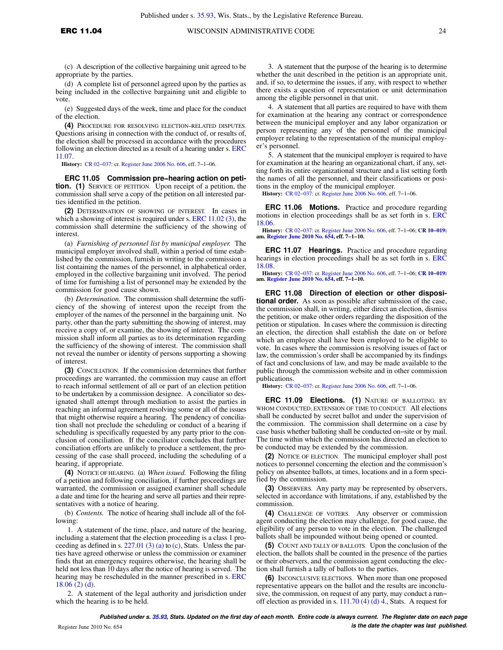(c) A description of the collective bargaining unit agreed to be appropriate by the parties.

(d) A complete list of personnel agreed upon by the parties as being included in the collective bargaining unit and eligible to vote.

(e) Suggested days of the week, time and place for the conduct of the election.

**(4)** PROCEDURE FOR RESOLVING ELECTION−RELATED DISPUTES. Questions arising in connection with the conduct of, or results of, the election shall be processed in accordance with the procedures following an election directed as a result of a hearing under s. [ERC](https://docs.legis.wisconsin.gov/document/administrativecode/ERC%2011.07) [11.07.](https://docs.legis.wisconsin.gov/document/administrativecode/ERC%2011.07)

**History:** [CR 02−037](https://docs.legis.wisconsin.gov/document/cr/2002/37): cr. [Register June 2006 No. 606,](https://docs.legis.wisconsin.gov/document/register/606/B/toc) eff. 7−1−06.

**ERC 11.05 Commission pre−hearing action on petition. (1)** SERVICE OF PETITION. Upon receipt of a petition, the commission shall serve a copy of the petition on all interested parties identified in the petition.

**(2)** DETERMINATION OF SHOWING OF INTEREST. In cases in which a showing of interest is required under s. [ERC 11.02 \(3\)](https://docs.legis.wisconsin.gov/document/administrativecode/ERC%2011.02(3)), the commission shall determine the sufficiency of the showing of interest.

(a) *Furnishing of personnel list by municipal employer.* The municipal employer involved shall, within a period of time established by the commission, furnish in writing to the commission a list containing the names of the personnel, in alphabetical order, employed in the collective bargaining unit involved. The period of time for furnishing a list of personnel may be extended by the commission for good cause shown.

(b) *Determination.* The commission shall determine the sufficiency of the showing of interest upon the receipt from the employer of the names of the personnel in the bargaining unit. No party, other than the party submitting the showing of interest, may receive a copy of, or examine, the showing of interest. The commission shall inform all parties as to its determination regarding the sufficiency of the showing of interest. The commission shall not reveal the number or identity of persons supporting a showing of interest.

**(3)** CONCILIATION. If the commission determines that further proceedings are warranted, the commission may cause an effort to reach informal settlement of all or part of an election petition to be undertaken by a commission designee. A conciliator so designated shall attempt through mediation to assist the parties in reaching an informal agreement resolving some or all of the issues that might otherwise require a hearing. The pendency of conciliation shall not preclude the scheduling or conduct of a hearing if scheduling is specifically requested by any party prior to the conclusion of conciliation. If the conciliator concludes that further conciliation efforts are unlikely to produce a settlement, the processing of the case shall proceed, including the scheduling of a hearing, if appropriate.

**(4)** NOTICE OF HEARING. (a) *When issued.* Following the filing of a petition and following conciliation, if further proceedings are warranted, the commission or assigned examiner shall schedule a date and time for the hearing and serve all parties and their representatives with a notice of hearing.

(b) *Contents.* The notice of hearing shall include all of the following:

1. A statement of the time, place, and nature of the hearing, including a statement that the election proceeding is a class 1 proceeding as defined in s.  $227.01$  (3) (a) to [\(c\),](https://docs.legis.wisconsin.gov/document/statutes/227.01(3)(c)) Stats. Unless the parties have agreed otherwise or unless the commission or examiner finds that an emergency requires otherwise, the hearing shall be held not less than 10 days after the notice of hearing is served. The hearing may be rescheduled in the manner prescribed in s. [ERC](https://docs.legis.wisconsin.gov/document/administrativecode/ERC%2018.06(2)(d)) [18.06 \(2\) \(d\).](https://docs.legis.wisconsin.gov/document/administrativecode/ERC%2018.06(2)(d))

2. A statement of the legal authority and jurisdiction under which the hearing is to be held.

3. A statement that the purpose of the hearing is to determine whether the unit described in the petition is an appropriate unit, and, if so, to determine the issues, if any, with respect to whether there exists a question of representation or unit determination among the eligible personnel in that unit.

4. A statement that all parties are required to have with them for examination at the hearing any contract or correspondence between the municipal employer and any labor organization or person representing any of the personnel of the municipal employer relating to the representation of the municipal employer's personnel.

5. A statement that the municipal employer is required to have for examination at the hearing an organizational chart, if any, setting forth its entire organizational structure and a list setting forth the names of all the personnel, and their classifications or positions in the employ of the municipal employer.

**History:** [CR 02−037:](https://docs.legis.wisconsin.gov/document/cr/2002/37) cr. [Register June 2006 No. 606](https://docs.legis.wisconsin.gov/document/register/606/B/toc), eff. 7−1−06.

**ERC 11.06 Motions.** Practice and procedure regarding motions in election proceedings shall be as set forth in s. [ERC](https://docs.legis.wisconsin.gov/document/administrativecode/ERC%2018.06) [18.06.](https://docs.legis.wisconsin.gov/document/administrativecode/ERC%2018.06)

**History:** [CR 02−037:](https://docs.legis.wisconsin.gov/document/cr/2002/37) cr. [Register June 2006 No. 606,](https://docs.legis.wisconsin.gov/document/register/606/B/toc) eff. 7−1−06; **[CR 10−019:](https://docs.legis.wisconsin.gov/document/cr/2010/19) am. [Register June 2010 No. 654](https://docs.legis.wisconsin.gov/document/register/654/B/toc), eff. 7−1−10.**

**ERC 11.07 Hearings.** Practice and procedure regarding hearings in election proceedings shall be as set forth in s. [ERC](https://docs.legis.wisconsin.gov/document/administrativecode/ERC%2018.08) [18.08.](https://docs.legis.wisconsin.gov/document/administrativecode/ERC%2018.08)

**History:** [CR 02−037:](https://docs.legis.wisconsin.gov/document/cr/2002/37) cr. [Register June 2006 No. 606,](https://docs.legis.wisconsin.gov/document/register/606/B/toc) eff. 7−1−06; **[CR 10−019:](https://docs.legis.wisconsin.gov/document/cr/2010/19) am. [Register June 2010 No. 654](https://docs.legis.wisconsin.gov/document/register/654/B/toc), eff. 7−1−10.**

**ERC 11.08 Direction of election or other dispositional order.** As soon as possible after submission of the case, the commission shall, in writing, either direct an election, dismiss the petition, or make other orders regarding the disposition of the petition or stipulation. In cases where the commission is directing an election, the direction shall establish the date on or before which an employee shall have been employed to be eligible to vote. In cases where the commission is resolving issues of fact or law, the commission's order shall be accompanied by its findings of fact and conclusions of law, and may be made available to the public through the commission website and in other commission publications.

**History:** [CR 02−037:](https://docs.legis.wisconsin.gov/document/cr/2002/37) cr. [Register June 2006 No. 606](https://docs.legis.wisconsin.gov/document/register/606/B/toc), eff. 7−1−06.

**ERC 11.09 Elections. (1)** NATURE OF BALLOTING; BY WHOM CONDUCTED; EXTENSION OF TIME TO CONDUCT. All elections shall be conducted by secret ballot and under the supervision of the commission. The commission shall determine on a case by case basis whether balloting shall be conducted on−site or by mail. The time within which the commission has directed an election to be conducted may be extended by the commission.

**(2)** NOTICE OF ELECTION. The municipal employer shall post notices to personnel concerning the election and the commission's policy on absentee ballots, at times, locations and in a form specified by the commission.

**(3)** OBSERVERS. Any party may be represented by observers, selected in accordance with limitations, if any, established by the commission.

**(4)** CHALLENGE OF VOTERS. Any observer or commission agent conducting the election may challenge, for good cause, the eligibility of any person to vote in the election. The challenged ballots shall be impounded without being opened or counted.

**(5)** COUNT AND TALLY OF BALLOTS. Upon the conclusion of the election, the ballots shall be counted in the presence of the parties or their observers, and the commission agent conducting the election shall furnish a tally of ballots to the parties.

**(6)** INCONCLUSIVE ELECTIONS. When more than one proposed representative appears on the ballot and the results are inconclusive, the commission, on request of any party, may conduct a run− off election as provided in s.  $111.70$  (4) (d) 4., Stats. A request for

**Published under s. [35.93,](https://docs.legis.wisconsin.gov/document/statutes/35.93) Stats. Updated on the first day of each month. Entire code is always current. The Register date on each page** Register June 2010 No. 654 **is the date the chapter was last published.**